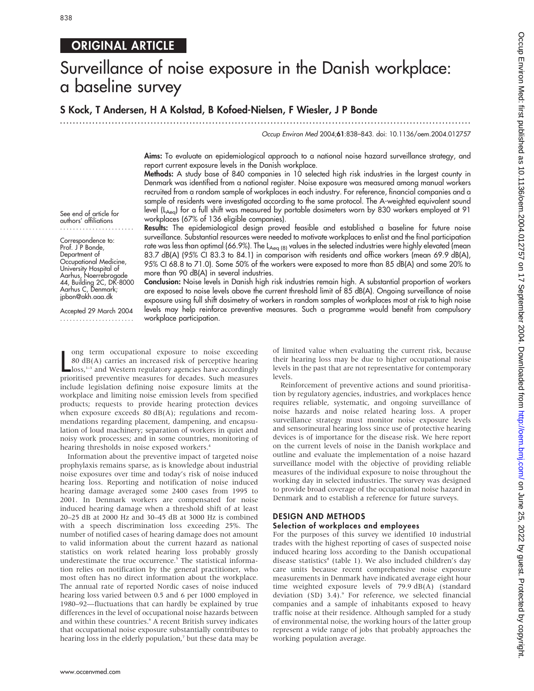## ORIGINAL ARTICLE

# Surveillance of noise exposure in the Danish workplace: a baseline survey

## S Kock, T Andersen, H A Kolstad, B Kofoed-Nielsen, F Wiesler, J P Bonde

...............................................................................................................................

#### Occup Environ Med 2004;61:838–843. doi: 10.1136/oem.2004.012757

Aims: To evaluate an epidemiological approach to a national noise hazard surveillance strategy, and report current exposure levels in the Danish workplace.

Methods: A study base of 840 companies in 10 selected high risk industries in the largest county in Denmark was identified from a national register. Noise exposure was measured among manual workers recruited from a random sample of workplaces in each industry. For reference, financial companies and a sample of residents were investigated according to the same protocol. The A-weighted equivalent sound level (L<sub>Aeq</sub>) for a full shift was measured by portable dosimeters worn by 830 workers employed at 91 workplaces (67% of 136 eligible companies).

See end of article for authors' affiliations .......................

Correspondence to: Prof. J P Bonde, Department of Occupational Medicine, University Hospital of Aarhus, Noerrebrogade 44, Building 2C, DK-8000 Aarhus C, Denmark; jpbon@akh.aaa.dk

Accepted 29 March 2004 .......................

Results: The epidemiological design proved feasible and established a baseline for future noise surveillance. Substantial resources were needed to motivate workplaces to enlist and the final participation rate was less than optimal (66.9%). The L<sub>Aeq (8)</sub> values in the selected industries were highly elevated (mean 83.7 dB(A) (95% CI 83.3 to 84.1) in comparison with residents and office workers (mean 69.9 dB(A), 95% CI 68.8 to 71.0). Some 50% of the workers were exposed to more than 85 dB(A) and some 20% to more than 90 dB(A) in several industries.

Conclusion: Noise levels in Danish high risk industries remain high. A substantial proportion of workers are exposed to noise levels above the current threshold limit of 85 dB(A). Ongoing surveillance of noise exposure using full shift dosimetry of workers in random samples of workplaces most at risk to high noise levels may help reinforce preventive measures. Such a programme would benefit from compulsory workplace participation.

lem occupational exposure to noise exceeding<br>
80 dB(A) carries an increased risk of perceptive hearing<br>
loss,<sup>1-3</sup> and Western regulatory agencies have accordingly<br>
prioritised preventive measures for decades. Such measure ong term occupational exposure to noise exceeding 80 dB(A) carries an increased risk of perceptive hearing loss,<sup>1-3</sup> and Western regulatory agencies have accordingly include legislation defining noise exposure limits at the workplace and limiting noise emission levels from specified products; requests to provide hearing protection devices when exposure exceeds 80 dB(A); regulations and recommendations regarding placement, dampening, and encapsulation of loud machinery; separation of workers in quiet and noisy work processes; and in some countries, monitoring of hearing thresholds in noise exposed workers.<sup>4</sup>

Information about the preventive impact of targeted noise prophylaxis remains sparse, as is knowledge about industrial noise exposures over time and today's risk of noise induced hearing loss. Reporting and notification of noise induced hearing damage averaged some 2400 cases from 1995 to 2001. In Denmark workers are compensated for noise induced hearing damage when a threshold shift of at least 20–25 dB at 2000 Hz and 30–45 dB at 3000 Hz is combined with a speech discrimination loss exceeding 25%. The number of notified cases of hearing damage does not amount to valid information about the current hazard as national statistics on work related hearing loss probably grossly underestimate the true occurrence.<sup>5</sup> The statistical information relies on notification by the general practitioner, who most often has no direct information about the workplace. The annual rate of reported Nordic cases of noise induced hearing loss varied between 0.5 and 6 per 1000 employed in 1980–92—fluctuations that can hardly be explained by true differences in the level of occupational noise hazards between and within these countries.<sup>6</sup> A recent British survey indicates that occupational noise exposure substantially contributes to hearing loss in the elderly population,<sup>7</sup> but these data may be

of limited value when evaluating the current risk, because their hearing loss may be due to higher occupational noise levels in the past that are not representative for contemporary levels.

Reinforcement of preventive actions and sound prioritisation by regulatory agencies, industries, and workplaces hence requires reliable, systematic, and ongoing surveillance of noise hazards and noise related hearing loss. A proper surveillance strategy must monitor noise exposure levels and sensorineural hearing loss since use of protective hearing devices is of importance for the disease risk. We here report on the current levels of noise in the Danish workplace and outline and evaluate the implementation of a noise hazard surveillance model with the objective of providing reliable measures of the individual exposure to noise throughout the working day in selected industries. The survey was designed to provide broad coverage of the occupational noise hazard in Denmark and to establish a reference for future surveys.

## DESIGN AND METHODS

### Selection of workplaces and employees

For the purposes of this survey we identified 10 industrial trades with the highest reporting of cases of suspected noise induced hearing loss according to the Danish occupational disease statistics<sup>8</sup> (table 1). We also included children's day care units because recent comprehensive noise exposure measurements in Denmark have indicated average eight hour time weighted exposure levels of 79.9 dB(A) (standard deviation (SD)  $3.4$ ). $9$  For reference, we selected financial companies and a sample of inhabitants exposed to heavy traffic noise at their residence. Although sampled for a study of environmental noise, the working hours of the latter group represent a wide range of jobs that probably approaches the working population average.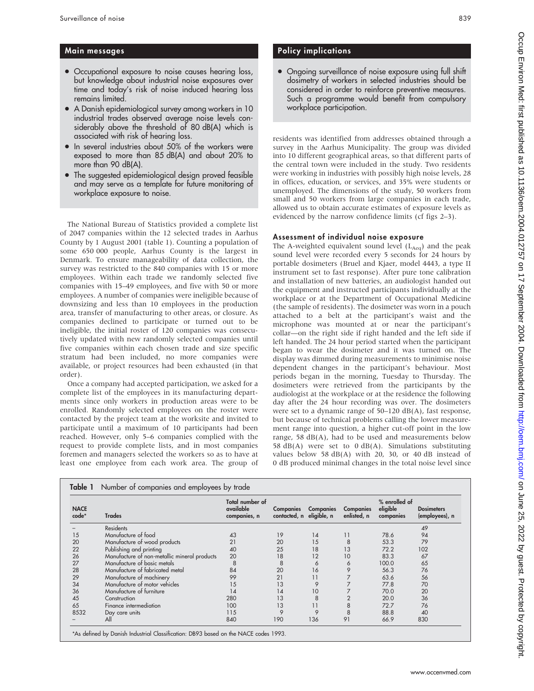## Main messages

- Occupational exposure to noise causes hearing loss, but knowledge about industrial noise exposures over time and today's risk of noise induced hearing loss remains limited.
- A Danish epidemiological survey among workers in 10 industrial trades observed average noise levels considerably above the threshold of 80 dB(A) which is associated with risk of hearing loss.
- In several industries about 50% of the workers were exposed to more than 85 dB(A) and about 20% to more than 90 dB(A).
- The suggested epidemiological design proved feasible and may serve as a template for future monitoring of workplace exposure to noise.

The National Bureau of Statistics provided a complete list of 2047 companies within the 12 selected trades in Aarhus County by 1 August 2001 (table 1). Counting a population of some 650 000 people, Aarhus County is the largest in Denmark. To ensure manageability of data collection, the survey was restricted to the 840 companies with 15 or more employees. Within each trade we randomly selected five companies with 15–49 employees, and five with 50 or more employees. A number of companies were ineligible because of downsizing and less than 10 employees in the production area, transfer of manufacturing to other areas, or closure. As companies declined to participate or turned out to be ineligible, the initial roster of 120 companies was consecutively updated with new randomly selected companies until five companies within each chosen trade and size specific stratum had been included, no more companies were available, or project resources had been exhausted (in that order).

Once a company had accepted participation, we asked for a complete list of the employees in its manufacturing departments since only workers in production areas were to be enrolled. Randomly selected employees on the roster were contacted by the project team at the worksite and invited to participate until a maximum of 10 participants had been reached. However, only 5–6 companies complied with the request to provide complete lists, and in most companies foremen and managers selected the workers so as to have at least one employee from each work area. The group of

## Policy implications

• Ongoing surveillance of noise exposure using full shift dosimetry of workers in selected industries should be considered in order to reinforce preventive measures. Such a programme would benefit from compulsory workplace participation.

residents was identified from addresses obtained through a survey in the Aarhus Municipality. The group was divided into 10 different geographical areas, so that different parts of the central town were included in the study. Two residents were working in industries with possibly high noise levels, 28 in offices, education, or services, and 35% were students or unemployed. The dimensions of the study, 50 workers from small and 50 workers from large companies in each trade, allowed us to obtain accurate estimates of exposure levels as evidenced by the narrow confidence limits (cf figs 2–3).

## Assessment of individual noise exposure

The A-weighted equivalent sound level  $(L_{Aeq})$  and the peak sound level were recorded every 5 seconds for 24 hours by portable dosimeters (Bruel and Kjaer, model 4443, a type II instrument set to fast response). After pure tone calibration and installation of new batteries, an audiologist handed out the equipment and instructed participants individually at the workplace or at the Department of Occupational Medicine (the sample of residents). The dosimeter was worn in a pouch attached to a belt at the participant's waist and the microphone was mounted at or near the participant's collar—on the right side if right handed and the left side if left handed. The 24 hour period started when the participant began to wear the dosimeter and it was turned on. The display was dimmed during measurements to minimise noise dependent changes in the participant's behaviour. Most periods began in the morning, Tuesday to Thursday. The dosimeters were retrieved from the participants by the audiologist at the workplace or at the residence the following day after the 24 hour recording was over. The dosimeters were set to a dynamic range of 50–120 dB(A), fast response, but because of technical problems calling the lower measurement range into question, a higher cut-off point in the low range, 58  $dB(A)$ , had to be used and measurements below 58 dB(A) were set to 0 dB(A). Simulations substituting values below 58  $dB(A)$  with 20, 30, or 40 dB instead of 0 dB produced minimal changes in the total noise level since

| <b>NACE</b><br>code* | <b>Trades</b>                                | Total number of<br>available<br>companies, n | Companies<br>contacted, n eligible, n | <b>Companies</b> | <b>Companies</b><br>enlisted, n | % enrolled of<br>eligible<br>companies | <b>Dosimeters</b><br>(employees), n |
|----------------------|----------------------------------------------|----------------------------------------------|---------------------------------------|------------------|---------------------------------|----------------------------------------|-------------------------------------|
|                      | <b>Residents</b>                             |                                              |                                       |                  |                                 |                                        | 49                                  |
| 15                   | Manufacture of food                          | 43                                           | 19                                    | 14               | 11                              | 78.6                                   | 94                                  |
| 20                   | Manufacture of wood products                 | 21                                           | 20                                    | 15               | 8                               | 53.3                                   | 79                                  |
| 22                   | Publishing and printing                      | 40                                           | 25                                    | 18               | 13                              | 72.2                                   | 102                                 |
| 26                   | Manufacture of non-metallic mineral products | 20                                           | 18                                    | 12               | 10                              | 83.3                                   | 67                                  |
| 27                   | Manufacture of basic metals                  | 8                                            | 8                                     | 6                | 6                               | 100.0                                  | 65                                  |
| 28                   | Manufacture of fabricated metal              | 84                                           | 20                                    | 16               | 9                               | 56.3                                   | 76                                  |
| 29                   | Manufacture of machinery                     | 99                                           | 21                                    | 11               |                                 | 63.6                                   | 56                                  |
| 34                   | Manufacture of motor vehicles                | 15                                           | 13                                    | 9                |                                 | 77.8                                   | 70                                  |
| 36                   | Manufacture of furniture                     | 14                                           | 14                                    | 10               |                                 | 70.0                                   | 20                                  |
| 45                   | Construction                                 | 280                                          | 13                                    | 8                |                                 | 20.0                                   | 36                                  |
| 65                   | Finance intermediation                       | 100                                          | 13                                    | 11               | 8                               | 72.7                                   | 76                                  |
| 8532                 | Day care units                               | 115                                          | 9                                     | 9                | 8                               | 88.8                                   | 40                                  |
|                      | All                                          | 840                                          | 190                                   | 136              | 91                              | 66.9                                   | 830                                 |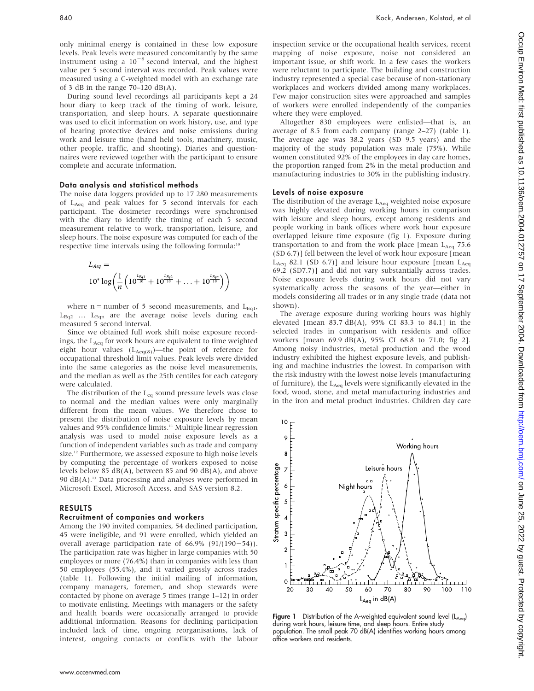only minimal energy is contained in these low exposure levels. Peak levels were measured concomitantly by the same instrument using a  $10^{-6}$  second interval, and the highest value per 5 second interval was recorded. Peak values were measured using a C-weighted model with an exchange rate of 3 dB in the range  $70-120$  dB(A).

During sound level recordings all participants kept a 24 hour diary to keep track of the timing of work, leisure, transportation, and sleep hours. A separate questionnaire was used to elicit information on work history, use, and type of hearing protective devices and noise emissions during work and leisure time (hand held tools, machinery, music, other people, traffic, and shooting). Diaries and questionnaires were reviewed together with the participant to ensure complete and accurate information.

#### Data analysis and statistical methods

The noise data loggers provided up to 17 280 measurements of LAeq and peak values for 5 second intervals for each participant. The dosimeter recordings were synchronised with the diary to identify the timing of each 5 second measurement relative to work, transportation, leisure, and sleep hours. The noise exposure was computed for each of the respective time intervals using the following formula:<sup>10</sup>

$$
L_{Aeq} = \n10^* \log \left( \frac{1}{n} \left( 10^{\frac{L_{Eq1}}{10}} + 10^{\frac{L_{Eq2}}{10}} + \ldots + 10^{\frac{L_{Eqn}}{10}} \right) \right)
$$

where  $n =$  number of 5 second measurements, and  $L_{Eq1}$ ,  $L_{Eq2}$  ...  $L_{Eqn}$  are the average noise levels during each measured 5 second interval.

Since we obtained full work shift noise exposure recordings, the L<sub>Aeq</sub> for work hours are equivalent to time weighted eight hour values  $(L_{Aeq(8)})$ —the point of reference for occupational threshold limit values. Peak levels were divided into the same categories as the noise level measurements, and the median as well as the 25th centiles for each category were calculated.

The distribution of the  $L_{eq}$  sound pressure levels was close to normal and the median values were only marginally different from the mean values. We therefore chose to present the distribution of noise exposure levels by mean values and 95% confidence limits.<sup>11</sup> Multiple linear regression analysis was used to model noise exposure levels as a function of independent variables such as trade and company size.<sup>12</sup> Furthermore, we assessed exposure to high noise levels by computing the percentage of workers exposed to noise levels below 85 dB(A), between 85 and 90 dB(A), and above 90  $dB(A)$ .<sup>13</sup> Data processing and analyses were performed in Microsoft Excel, Microsoft Access, and SAS version 8.2.

#### RESULTS

#### Recruitment of companies and workers

Among the 190 invited companies, 54 declined participation, 45 were ineligible, and 91 were enrolled, which yielded an overall average participation rate of  $66.9\%$  (91/(190-54)). The participation rate was higher in large companies with 50 employees or more (76.4%) than in companies with less than 50 employees (55.4%), and it varied grossly across trades (table 1). Following the initial mailing of information, company managers, foremen, and shop stewards were contacted by phone on average 5 times (range 1–12) in order to motivate enlisting. Meetings with managers or the safety and health boards were occasionally arranged to provide additional information. Reasons for declining participation included lack of time, ongoing reorganisations, lack of interest, ongoing contacts or conflicts with the labour inspection service or the occupational health services, recent mapping of noise exposure, noise not considered an important issue, or shift work. In a few cases the workers were reluctant to participate. The building and construction industry represented a special case because of non-stationary workplaces and workers divided among many workplaces. Few major construction sites were approached and samples of workers were enrolled independently of the companies where they were employed.

Altogether 830 employees were enlisted—that is, an average of 8.5 from each company (range 2–27) (table 1). The average age was 38.2 years (SD 9.5 years) and the majority of the study population was male (75%). While women constituted 92% of the employees in day care homes, the proportion ranged from 2% in the metal production and manufacturing industries to 30% in the publishing industry.

#### Levels of noise exposure

The distribution of the average  $L_{Aeq}$  weighted noise exposure was highly elevated during working hours in comparison with leisure and sleep hours, except among residents and people working in bank offices where work hour exposure overlapped leisure time exposure (fig 1). Exposure during transportation to and from the work place [mean  $L_{Aeq}$  75.6 (SD 6.7)] fell between the level of work hour exposure [mean  $L_{Aeq}$  82.1 (SD 6.7)] and leisure hour exposure [mean  $L_{Aeq}$ 69.2 (SD7.7)] and did not vary substantially across trades. Noise exposure levels during work hours did not vary systematically across the seasons of the year—either in models considering all trades or in any single trade (data not shown).

The average exposure during working hours was highly elevated [mean 83.7 dB(A), 95% CI 83.3 to 84.1] in the selected trades in comparison with residents and office workers [mean 69.9 dB(A), 95% CI 68.8 to 71.0; fig 2]. Among noisy industries, metal production and the wood industry exhibited the highest exposure levels, and publishing and machine industries the lowest. In comparison with the risk industry with the lowest noise levels (manufacturing of furniture), the  $L_{Aeq}$  levels were significantly elevated in the food, wood, stone, and metal manufacturing industries and in the iron and metal product industries. Children day care

 $10$ Working hours 8 Stratum specific percentage Leisure hours 7 6 Night hours 5  $\overline{\mathbf{4}}$  $\mathbf{3}$  $\overline{2}$ 0 P 50 90 30 40 60 70 80 100  $110$  $L_{\rm Aeq}$  in dB(A)

Figure 1 Distribution of the A-weighted equivalent sound level  $(L_{Aeq})$ during work hours, leisure time, and sleep hours. Entire study population. The small peak 70 dB(A) identifies working hours among office workers and residents.

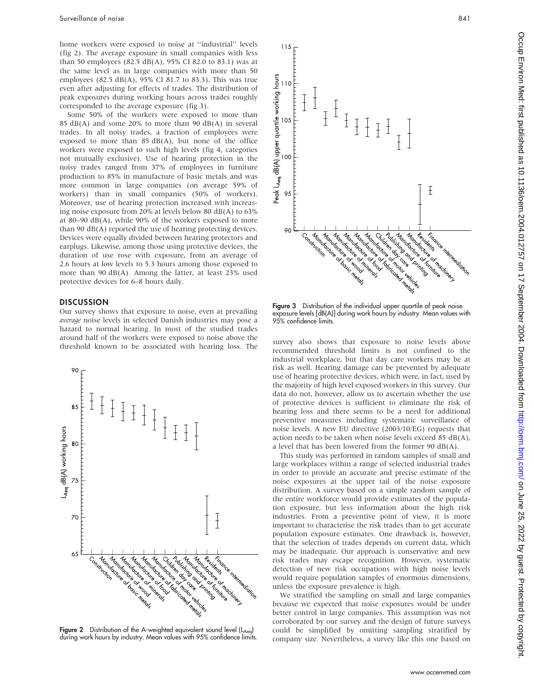home workers were exposed to noise at ''industrial'' levels (fig 2). The average exposure in small companies with less than 50 employees (82.5 dB(A), 95% CI 82.0 to 83.1) was at the same level as in large companies with more than 50 employees (82.5 dB(A), 95% CI 81.7 to 83.3). This was true even after adjusting for effects of trades. The distribution of peak exposures during working hours across trades roughly corresponded to the average exposure (fig 3).

Some 50% of the workers were exposed to more than 85  $dB(A)$  and some 20% to more than 90  $dB(A)$  in several trades. In all noisy trades, a fraction of employees were exposed to more than  $85$  dB(A), but none of the office workers were exposed to such high levels (fig 4, categories not mutually exclusive). Use of hearing protection in the noisy trades ranged from 37% of employees in furniture production to 85% in manufacture of basic metals and was more common in large companies (on average 59% of workers) than in small companies (50% of workers). Moreover, use of hearing protection increased with increasing noise exposure from 20% at levels below 80 dB(A) to 63% at 80–90  $dB(A)$ , while 90% of the workers exposed to more than 90 dB(A) reported the use of hearing protecting devices. Devices were equally divided between hearing protectors and earplugs. Likewise, among those using protective devices, the duration of use rose with exposure, from an average of 2.6 hours at low levels to 5.3 hours among those exposed to more than 90 dB(A). Among the latter, at least 23% used protective devices for 6–8 hours daily.

## **DISCUSSION**

Our survey shows that exposure to noise, even at prevailing average noise levels in selected Danish industries may pose a hazard to normal hearing. In most of the studied trades around half of the workers were exposed to noise above the abound han of the workers were exposed to holse above the<br>threshold known to be associated with hearing loss. The survey also shows that exposure to noise levels above<br>threshold known to be associated with hearing loss. Th



Figure 2 Distribution of the A-weighted equivalent sound level (LAeq) during work hours by industry. Mean values with 95% confidence limits.



Figure 3 Distribution of the individual upper quartile of peak noise exposure levels [dB(A)] during work hours by industry. Mean values with 95% confidence limits.

recommended threshold limits is not confined to the industrial workplace, but that day care workers may be at risk as well. Hearing damage can be prevented by adequate use of hearing protective devices, which were, in fact, used by the majority of high level exposed workers in this survey. Our data do not, however, allow us to ascertain whether the use of protective devices is sufficient to eliminate the risk of hearing loss and there seems to be a need for additional preventive measures including systematic surveillance of noise levels. A new EU directive (2003/10/EG) requests that action needs to be taken when noise levels exceed 85 dB(A), a level that has been lowered from the former 90 dB(A).

This study was performed in random samples of small and large workplaces within a range of selected industrial trades in order to provide an accurate and precise estimate of the noise exposures at the upper tail of the noise exposure distribution. A survey based on a simple random sample of the entire workforce would provide estimates of the population exposure, but less information about the high risk industries. From a preventive point of view, it is more important to characterise the risk trades than to get accurate population exposure estimates. One drawback is, however, that the selection of trades depends on current data, which may be inadequate. Our approach is conservative and new risk trades may escape recognition. However, systematic detection of new risk occupations with high noise levels would require population samples of enormous dimensions, unless the exposure prevalence is high.

We stratified the sampling on small and large companies because we expected that noise exposures would be under better control in large companies. This assumption was not corroborated by our survey and the design of future surveys could be simplified by omitting sampling stratified by company size. Nevertheless, a survey like this one based on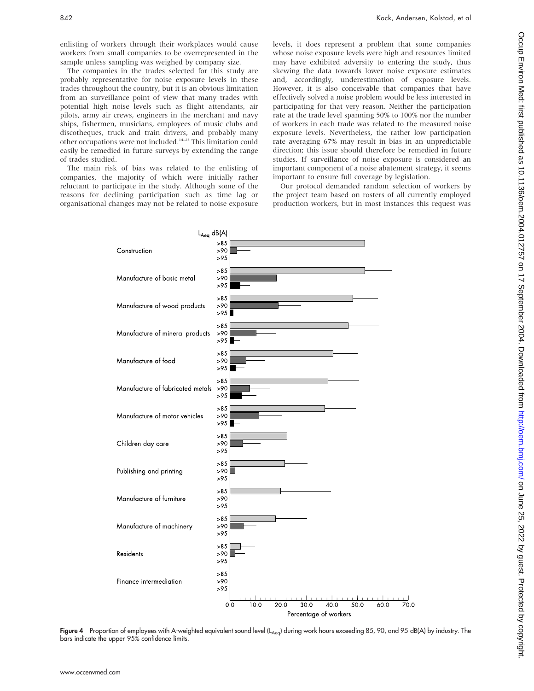enlisting of workers through their workplaces would cause workers from small companies to be overrepresented in the sample unless sampling was weighed by company size.

The companies in the trades selected for this study are probably representative for noise exposure levels in these trades throughout the country, but it is an obvious limitation from an surveillance point of view that many trades with potential high noise levels such as flight attendants, air pilots, army air crews, engineers in the merchant and navy ships, fishermen, musicians, employees of music clubs and discotheques, truck and train drivers, and probably many other occupations were not included.14–25 This limitation could easily be remedied in future surveys by extending the range of trades studied.

The main risk of bias was related to the enlisting of companies, the majority of which were initially rather reluctant to participate in the study. Although some of the reasons for declining participation such as time lag or organisational changes may not be related to noise exposure levels, it does represent a problem that some companies whose noise exposure levels were high and resources limited may have exhibited adversity to entering the study, thus skewing the data towards lower noise exposure estimates and, accordingly, underestimation of exposure levels. However, it is also conceivable that companies that have effectively solved a noise problem would be less interested in participating for that very reason. Neither the participation rate at the trade level spanning 50% to 100% nor the number of workers in each trade was related to the measured noise exposure levels. Nevertheless, the rather low participation rate averaging 67% may result in bias in an unpredictable direction; this issue should therefore be remedied in future studies. If surveillance of noise exposure is considered an important component of a noise abatement strategy, it seems important to ensure full coverage by legislation.

Our protocol demanded random selection of workers by the project team based on rosters of all currently employed production workers, but in most instances this request was



Figure 4 Proportion of employees with A-weighted equivalent sound level (L<sub>Aeq</sub>) during work hours exceeding 85, 90, and 95 dB(A) by industry. The bars indicate the upper 95% confidence limits.